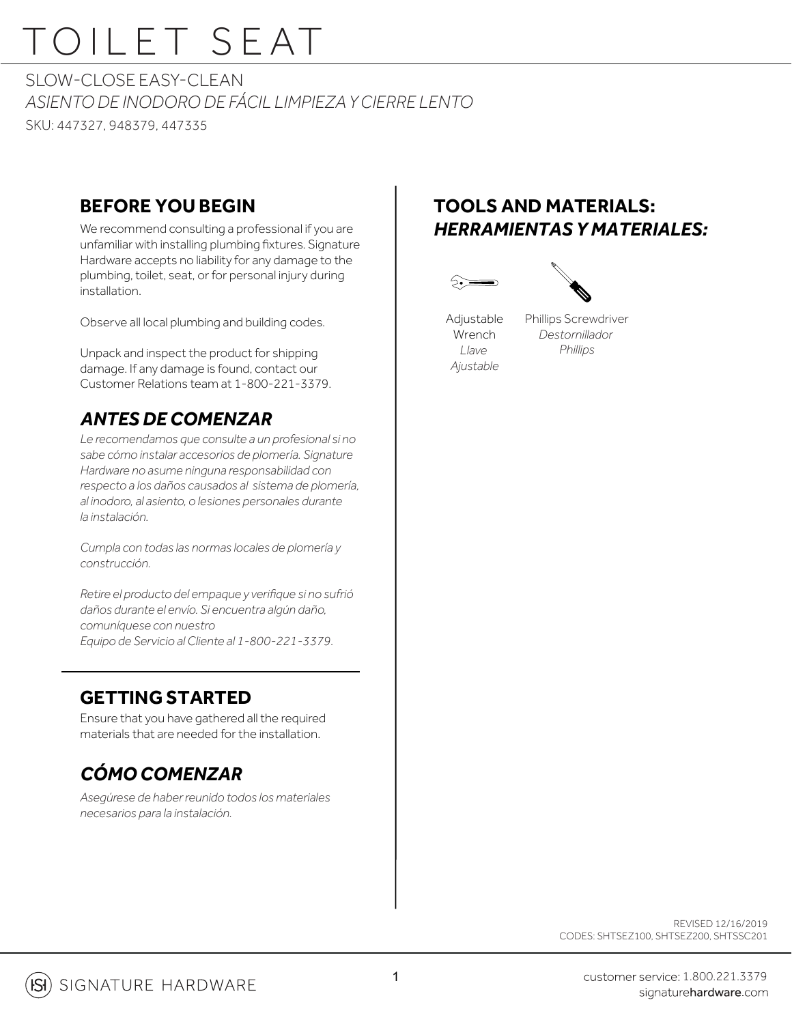# TOILET SEAT

SLOW-CLOSE FASY-CLEAN *ASIENTO DE INODORO DE FÁCIL LIMPIEZA Y CIERRE LENTO* SKU: 447327, 948379, 447335

#### **BEFORE YOU BEGIN**

We recommend consulting a professional if you are unfamiliar with installing plumbing fixtures. Signature Hardware accepts no liability for any damage to the plumbing, toilet, seat, or for personal injury during installation.

Observe all local plumbing and building codes.

Unpack and inspect the product for shipping damage. If any damage is found, contact our Customer Relations team at 1-800-221-3379.

#### *ANTES DE COMENZAR*

*Le recomendamos que consulte a un profesional si no sabe cómo instalar accesorios de plomería. Signature Hardware no asume ninguna responsabilidad con respecto a los daños causados al sistema de plomería, al inodoro, al asiento, o lesiones personales durante la instalación.*

*Cumpla con todas las normas locales de plomería y construcción.*

*Retire el producto del empaque y verifique si no sufrió daños durante el envío. Si encuentra algún daño, comuníquese con nuestro Equipo de Servicio al Cliente al 1-800-221-3379.*

### **GETTING STARTED**

Ensure that you have gathered all the required materials that are needed for the installation.

### *CÓMO COMENZAR*

*Asegúrese de haber reunido todos los materiales necesarios para la instalación.*

#### **TOOLS AND MATERIALS:** *HERRAMIENTAS Y MATERIALES:*





Phillips Screwdriver *Destornillador Llave Phillips*

> REVISED 12/16/2019 CODES: SHTSEZ100, SHTSEZ200, SHTSSC201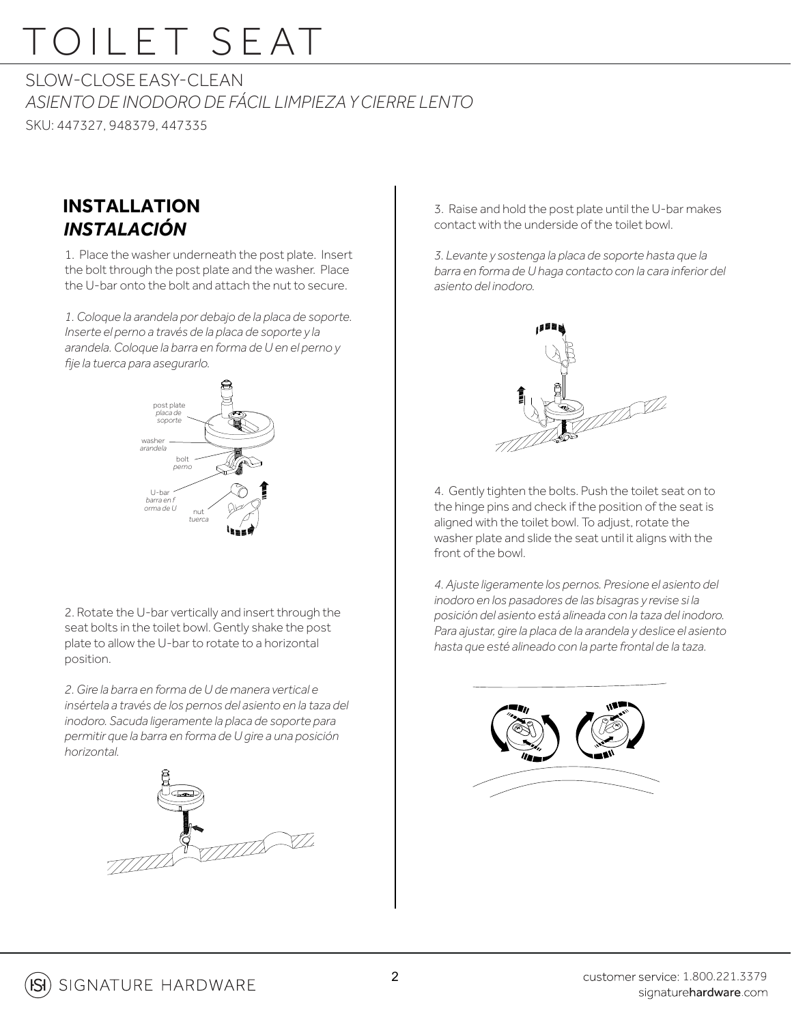### TOILET SEAT

SLOW-CLOSE FASY-CLEAN *ASIENTO DE INODORO DE FÁCIL LIMPIEZA Y CIERRE LENTO* SKU: 447327, 948379, 447335

### **INSTALLATION** *INSTALACIÓN*

1. Place the washer underneath the post plate. Insert the bolt through the post plate and the washer. Place the U-bar onto the bolt and attach the nut to secure.

*1. Coloque la arandela por debajo de la placa de soporte.*  Inserte el perno a través de la placa de soporte y la **Figure 1990 en 1990 en 1990 en 1990 en 1990**<br>En 1990 en 1990 en la banya de Maria de Maria de La Figure 1990 en 1990 en 1990 en 1990 en 1990 en 1990 en 199 *arandela. Coloque la barra en forma de U en el perno y fije la tuerca para asegurarlo.*



2. Rotate the U-bar vertically and insert through the seat bolts in the toilet bowl. Gently shake the post plate to allow the U-bar to rotate to a horizontal position.

*2. Gire la barra en forma de U de manera vertical e insértela a través de los pernos del asiento en la taza del inodoro. Sacuda ligeramente la placa de soporte para permitir que la barra en forma de U gire a una posición horizontal.*



3. Raise and hold the post plate until the U-bar makes contact with the underside of the toilet bowl.

*3. Levante y sostenga la placa de soporte hasta que la barra en forma de U haga contacto con la cara inferior del*  asiento del inodoro.



4. Gently tighten the bolts. Push the toilet seat on to the hinge pins and check if the position of the seat is aligned with the toilet bowl. To adjust, rotate the art is the seature of the twist of the seature of the seature of the seature of the seature of the seature of the seature of the seature of the seature of the seature of washer plate and slide the seat until it aligns with the front of the bowl. Front of the bowl.

> *4. Ajuste ligeramente los pernos. Presione el asiento del inodoro en los pasadores de las bisagras y revise si la posición del asiento está alineada con la taza del inodoro. Para ajustar, gire la placa de la arandela y deslice el asiento hasta que esté alineado con la parte frontal de la taza.* 4. Ajuste<br>inodoro



Figu re A